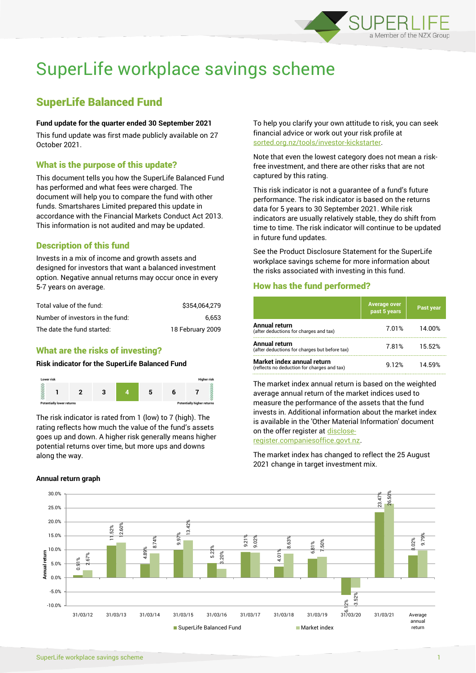

# SuperLife workplace savings scheme

## SuperLife Balanced Fund

#### **Fund update for the quarter ended 30 September 2021**

This fund update was first made publicly available on 27 October 2021.

## What is the purpose of this update?

This document tells you how the SuperLife Balanced Fund has performed and what fees were charged. The document will help you to compare the fund with other funds. Smartshares Limited prepared this update in accordance with the Financial Markets Conduct Act 2013. This information is not audited and may be updated.

## Description of this fund

Invests in a mix of income and growth assets and designed for investors that want a balanced investment option. Negative annual returns may occur once in every 5-7 years on average.

| Total value of the fund:         | \$354.064.279    |
|----------------------------------|------------------|
| Number of investors in the fund: | 6.653            |
| The date the fund started:       | 18 February 2009 |

## What are the risks of investing?

### **Risk indicator for the SuperLife Balanced Fund**



The risk indicator is rated from 1 (low) to 7 (high). The rating reflects how much the value of the fund's assets goes up and down. A higher risk generally means higher potential returns over time, but more ups and downs along the way.

**Annual return graph**

To help you clarify your own attitude to risk, you can seek financial advice or work out your risk profile at [sorted.org.nz/tools/investor-kickstarter.](http://www.sorted.org.nz/tools/investor-kickstarter)

Note that even the lowest category does not mean a riskfree investment, and there are other risks that are not captured by this rating.

This risk indicator is not a guarantee of a fund's future performance. The risk indicator is based on the returns data for 5 years to 30 September 2021. While risk indicators are usually relatively stable, they do shift from time to time. The risk indicator will continue to be updated in future fund updates.

See the Product Disclosure Statement for the SuperLife workplace savings scheme for more information about the risks associated with investing in this fund.

## How has the fund performed?

|                                                                           | <b>Average over</b><br>past 5 years | Past year |
|---------------------------------------------------------------------------|-------------------------------------|-----------|
| Annual return<br>(after deductions for charges and tax)                   | 7.01%                               | 14.00%    |
| Annual return<br>(after deductions for charges but before tax)            | 7.81%                               | 15.52%    |
| Market index annual return<br>(reflects no deduction for charges and tax) | 9.12%                               | 14.59%    |

The market index annual return is based on the weighted average annual return of the market indices used to measure the performance of the assets that the fund invests in. Additional information about the market index is available in the 'Other Material Information' document on the offer register a[t disclose-](http://www.disclose-register.companiesoffice.govt.nz/)

[register.companiesoffice.govt.nz.](http://www.disclose-register.companiesoffice.govt.nz/)

The market index has changed to reflect the 25 August 2021 change in target investment mix.

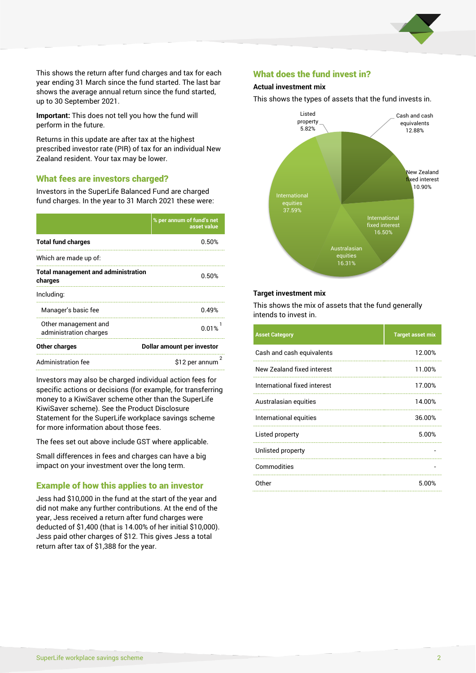

This shows the return after fund charges and tax for each year ending 31 March since the fund started. The last bar shows the average annual return since the fund started, up to 30 September 2021.

**Important:** This does not tell you how the fund will perform in the future.

Returns in this update are after tax at the highest prescribed investor rate (PIR) of tax for an individual New Zealand resident. Your tax may be lower.

## What fees are investors charged?

Investors in the SuperLife Balanced Fund are charged fund charges. In the year to 31 March 2021 these were:

|                                                       | % per annum of fund's net<br>asset value |  |  |
|-------------------------------------------------------|------------------------------------------|--|--|
| <b>Total fund charges</b>                             | 0.50%                                    |  |  |
| Which are made up of:                                 |                                          |  |  |
| <b>Total management and administration</b><br>charges | 0.50%                                    |  |  |
| Including:                                            |                                          |  |  |
| Manager's basic fee                                   | 0.49%                                    |  |  |
| Other management and<br>administration charges        | 0.01%                                    |  |  |
| Other charges                                         | Dollar amount per investor               |  |  |
| Administration fee                                    | \$12 per annum                           |  |  |

Investors may also be charged individual action fees for specific actions or decisions (for example, for transferring money to a KiwiSaver scheme other than the SuperLife KiwiSaver scheme). See the Product Disclosure Statement for the SuperLife workplace savings scheme for more information about those fees.

The fees set out above include GST where applicable.

Small differences in fees and charges can have a big impact on your investment over the long term.

#### Example of how this applies to an investor

Jess had \$10,000 in the fund at the start of the year and did not make any further contributions. At the end of the year, Jess received a return after fund charges were deducted of \$1,400 (that is 14.00% of her initial \$10,000). Jess paid other charges of \$12. This gives Jess a total return after tax of \$1,388 for the year.

## What does the fund invest in?

#### **Actual investment mix**

This shows the types of assets that the fund invests in.



#### **Target investment mix**

This shows the mix of assets that the fund generally intends to invest in.

| <b>Asset Category</b>        | <b>Target asset mix</b> |
|------------------------------|-------------------------|
| Cash and cash equivalents    | 12.00%                  |
| New Zealand fixed interest   | 11.00%                  |
| International fixed interest | 17.00%                  |
| Australasian equities        | 14.00%                  |
| International equities       | 36.00%                  |
| Listed property              | 5.00%                   |
| Unlisted property            |                         |
| Commodities                  |                         |
| Other                        | 5 በበ%                   |